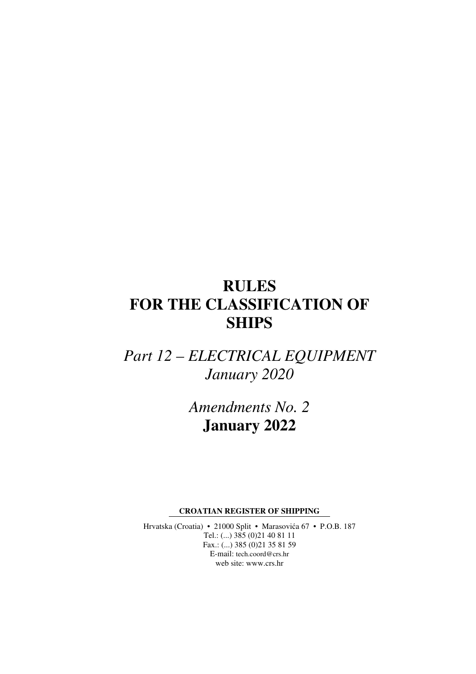# **RULES FOR THE CLASSIFICATION OF SHIPS**

*Part 12 – ELECTRICAL EQUIPMENT January 2020* 

> *Amendments No. 2*  **January 2022**

**CROATIAN REGISTER OF SHIPPING** 

Hrvatska (Croatia) • 21000 Split • Marasovića 67 • P.O.B. 187 Tel.: (...) 385 (0)21 40 81 11 Fax.: (...) 385 (0)21 35 81 59 E-mail: tech.coord@crs.hr web site: www.crs.hr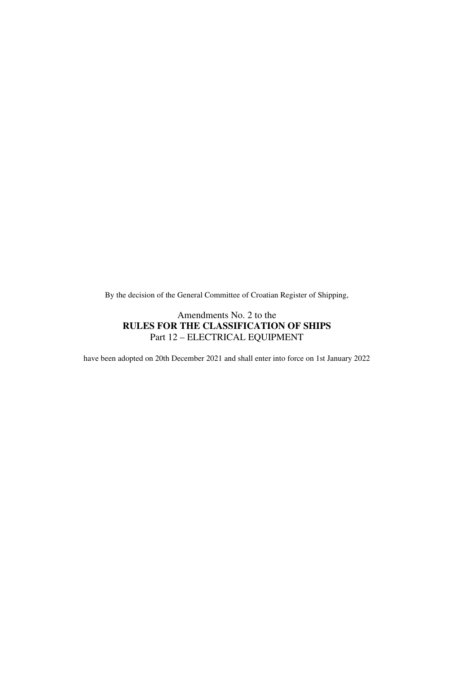By the decision of the General Committee of Croatian Register of Shipping,

#### Amendments No. 2 to the **RULES FOR THE CLASSIFICATION OF SHIPS**  Part 12 – ELECTRICAL EQUIPMENT

have been adopted on 20th December 2021 and shall enter into force on 1st January 2022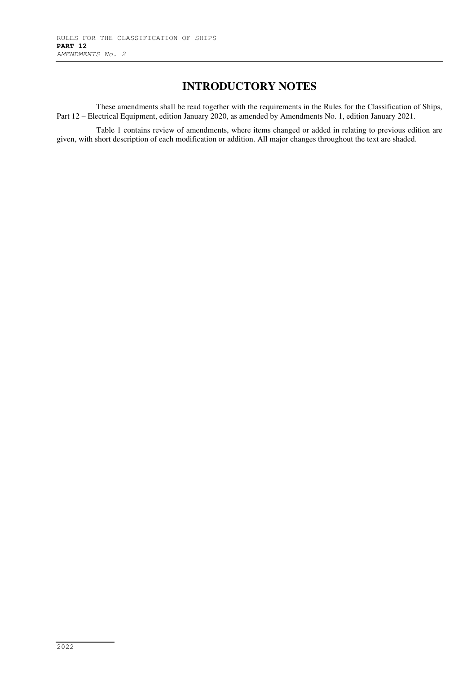## **INTRODUCTORY NOTES**

These amendments shall be read together with the requirements in the Rules for the Classification of Ships, Part 12 – Electrical Equipment, edition January 2020, as amended by Amendments No. 1, edition January 2021.

Table 1 contains review of amendments, where items changed or added in relating to previous edition are given, with short description of each modification or addition. All major changes throughout the text are shaded.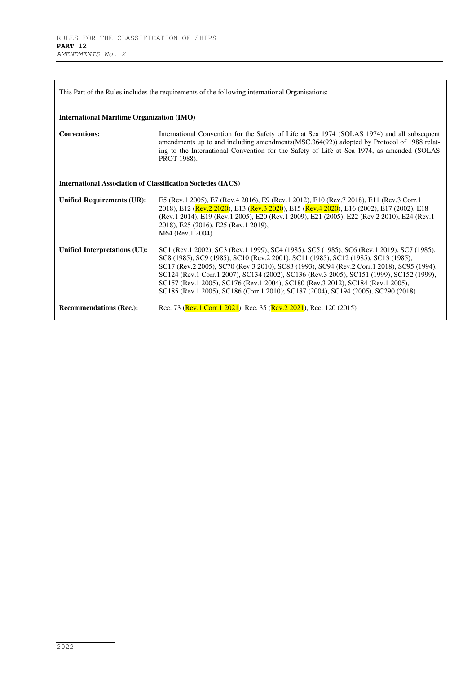| This Part of the Rules includes the requirements of the following international Organisations: |                                                                                                                                                                                                                                                                                                                                                                                                                                                                                                                                                 |  |
|------------------------------------------------------------------------------------------------|-------------------------------------------------------------------------------------------------------------------------------------------------------------------------------------------------------------------------------------------------------------------------------------------------------------------------------------------------------------------------------------------------------------------------------------------------------------------------------------------------------------------------------------------------|--|
| <b>International Maritime Organization (IMO)</b>                                               |                                                                                                                                                                                                                                                                                                                                                                                                                                                                                                                                                 |  |
| <b>Conventions:</b>                                                                            | International Convention for the Safety of Life at Sea 1974 (SOLAS 1974) and all subsequent<br>amendments up to and including amendments (MSC.364(92)) adopted by Protocol of 1988 relat-<br>ing to the International Convention for the Safety of Life at Sea 1974, as amended (SOLAS<br>PROT 1988).                                                                                                                                                                                                                                           |  |
| <b>International Association of Classification Societies (IACS)</b>                            |                                                                                                                                                                                                                                                                                                                                                                                                                                                                                                                                                 |  |
| <b>Unified Requirements (UR):</b>                                                              | E5 (Rev.1 2005), E7 (Rev.4 2016), E9 (Rev.1 2012), E10 (Rev.7 2018), E11 (Rev.3 Corr.1<br>2018), E12 (Rev.2 2020), E13 (Rev.3 2020), E15 (Rev.4 2020), E16 (2002), E17 (2002), E18<br>(Rev.1 2014), E19 (Rev.1 2005), E20 (Rev.1 2009), E21 (2005), E22 (Rev.2 2010), E24 (Rev.1<br>2018), E25 (2016), E25 (Rev.1 2019),<br>M64 (Rev.1 2004)                                                                                                                                                                                                    |  |
| Unified Interpretations (UI):                                                                  | SC1 (Rev.1 2002), SC3 (Rev.1 1999), SC4 (1985), SC5 (1985), SC6 (Rev.1 2019), SC7 (1985),<br>SC8 (1985), SC9 (1985), SC10 (Rev.2 2001), SC11 (1985), SC12 (1985), SC13 (1985),<br>SC17 (Rev.2 2005), SC70 (Rev.3 2010), SC83 (1993), SC94 (Rev.2 Corr.1 2018), SC95 (1994),<br>SC124 (Rev.1 Corr.1 2007), SC134 (2002), SC136 (Rev.3 2005), SC151 (1999), SC152 (1999),<br>SC157 (Rev.1 2005), SC176 (Rev.1 2004), SC180 (Rev.3 2012), SC184 (Rev.1 2005),<br>SC185 (Rev.1 2005), SC186 (Corr.1 2010); SC187 (2004), SC194 (2005), SC290 (2018) |  |
| <b>Recommendations (Rec.):</b>                                                                 | Rec. 73 (Rev.1 Corr.1 2021), Rec. 35 (Rev.2 2021), Rec. 120 (2015)                                                                                                                                                                                                                                                                                                                                                                                                                                                                              |  |

٦

L,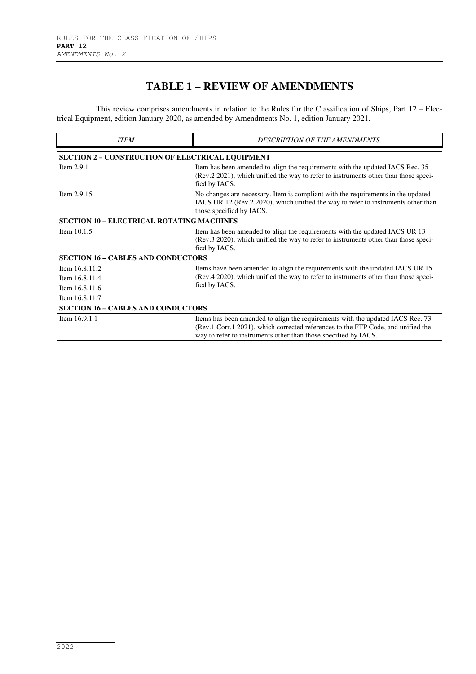# **TABLE 1 – REVIEW OF AMENDMENTS**

This review comprises amendments in relation to the Rules for the Classification of Ships, Part 12 – Electrical Equipment, edition January 2020, as amended by Amendments No. 1, edition January 2021.

| <b>ITEM</b>                                             | <b>DESCRIPTION OF THE AMENDMENTS</b>                                                                                                                                                                                                  |  |
|---------------------------------------------------------|---------------------------------------------------------------------------------------------------------------------------------------------------------------------------------------------------------------------------------------|--|
| <b>SECTION 2 - CONSTRUCTION OF ELECTRICAL EQUIPMENT</b> |                                                                                                                                                                                                                                       |  |
| Item $2.9.1$                                            | Item has been amended to align the requirements with the updated IACS Rec. 35<br>(Rev.2 2021), which unified the way to refer to instruments other than those speci-<br>fied by IACS.                                                 |  |
| Item 2.9.15                                             | No changes are necessary. Item is compliant with the requirements in the updated<br>IACS UR 12 (Rev.2 2020), which unified the way to refer to instruments other than<br>those specified by IACS.                                     |  |
| <b>SECTION 10 - ELECTRICAL ROTATING MACHINES</b>        |                                                                                                                                                                                                                                       |  |
| Item $10.1.5$                                           | Item has been amended to align the requirements with the updated IACS UR 13<br>(Rev.3 2020), which unified the way to refer to instruments other than those speci-<br>fied by IACS.                                                   |  |
| <b>SECTION 16 - CABLES AND CONDUCTORS</b>               |                                                                                                                                                                                                                                       |  |
| Item 16.8.11.2                                          | Items have been amended to align the requirements with the updated IACS UR 15<br>(Rev.4 2020), which unified the way to refer to instruments other than those speci-<br>fied by IACS.                                                 |  |
| Item 16.8.11.4                                          |                                                                                                                                                                                                                                       |  |
| Item 16.8.11.6                                          |                                                                                                                                                                                                                                       |  |
| Item 16.8.11.7                                          |                                                                                                                                                                                                                                       |  |
| <b>SECTION 16 - CABLES AND CONDUCTORS</b>               |                                                                                                                                                                                                                                       |  |
| Item 16.9.1.1                                           | Items has been amended to align the requirements with the updated IACS Rec. 73<br>(Rev.1 Corr.1 2021), which corrected references to the FTP Code, and unified the<br>way to refer to instruments other than those specified by IACS. |  |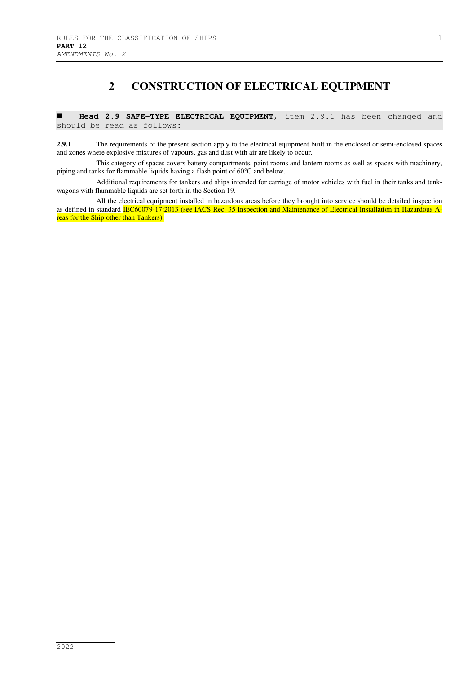#### **2 CONSTRUCTION OF ELECTRICAL EQUIPMENT**

 **Head 2.9 SAFE-TYPE ELECTRICAL EQUIPMENT**, item 2.9.1 has been changed and should be read as follows:

**2.9.1** The requirements of the present section apply to the electrical equipment built in the enclosed or semi-enclosed spaces and zones where explosive mixtures of vapours, gas and dust with air are likely to occur.

This category of spaces covers battery compartments, paint rooms and lantern rooms as well as spaces with machinery, piping and tanks for flammable liquids having a flash point of 60°C and below.

Additional requirements for tankers and ships intended for carriage of motor vehicles with fuel in their tanks and tankwagons with flammable liquids are set forth in the Section 19.

All the electrical equipment installed in hazardous areas before they brought into service should be detailed inspection as defined in standard IEC60079-17:2013 (see IACS Rec. 35 Inspection and Maintenance of Electrical Installation in Hazardous Areas for the Ship other than Tankers).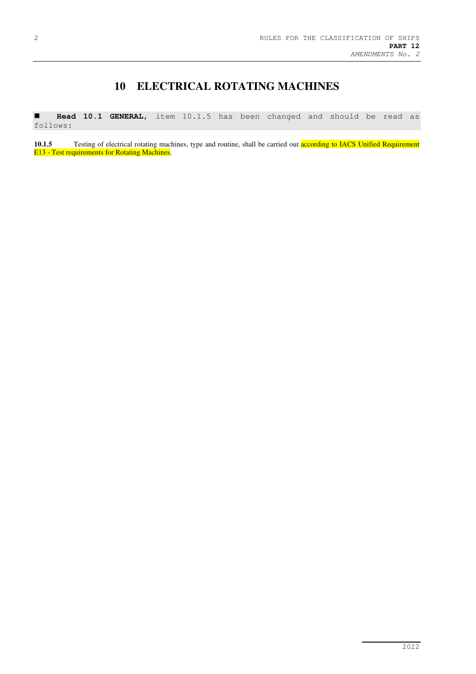## **10 ELECTRICAL ROTATING MACHINES**

 **Head 10.1 GENERAL**, item 10.1.5 has been changed and should be read as follows:

**10.1.5** Testing of electrical rotating machines, type and routine, shall be carried out **according to IACS Unified Requirement** E13 - Test requirements for Rotating Machines.